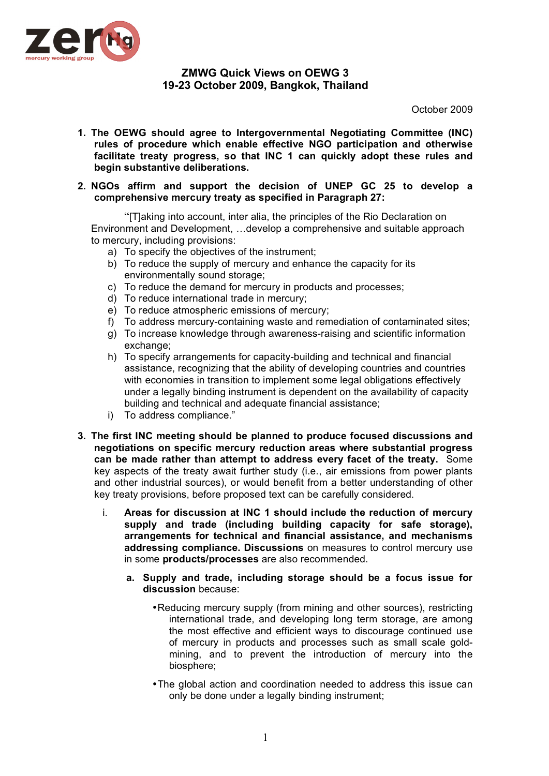

## **ZMWG Quick Views on OEWG 3 19-23 October 2009, Bangkok, Thailand**

October 2009

**1. The OEWG should agree to Intergovernmental Negotiating Committee (INC) rules of procedure which enable effective NGO participation and otherwise facilitate treaty progress, so that INC 1 can quickly adopt these rules and begin substantive deliberations.**

## **2. NGOs affirm and support the decision of UNEP GC 25 to develop a comprehensive mercury treaty as specified in Paragraph 27:**

"[T]aking into account, inter alia, the principles of the Rio Declaration on Environment and Development, …develop a comprehensive and suitable approach to mercury, including provisions:

- a) To specify the objectives of the instrument;
- b) To reduce the supply of mercury and enhance the capacity for its environmentally sound storage;
- c) To reduce the demand for mercury in products and processes;
- d) To reduce international trade in mercury;
- e) To reduce atmospheric emissions of mercury;
- f) To address mercury-containing waste and remediation of contaminated sites;
- g) To increase knowledge through awareness-raising and scientific information exchange;
- h) To specify arrangements for capacity-building and technical and financial assistance, recognizing that the ability of developing countries and countries with economies in transition to implement some legal obligations effectively under a legally binding instrument is dependent on the availability of capacity building and technical and adequate financial assistance;
- i) To address compliance."
- **3. The first INC meeting should be planned to produce focused discussions and negotiations on specific mercury reduction areas where substantial progress can be made rather than attempt to address every facet of the treaty.** Some key aspects of the treaty await further study (i.e., air emissions from power plants and other industrial sources), or would benefit from a better understanding of other key treaty provisions, before proposed text can be carefully considered.
	- i. **Areas for discussion at INC 1 should include the reduction of mercury supply and trade (including building capacity for safe storage), arrangements for technical and financial assistance, and mechanisms addressing compliance. Discussions** on measures to control mercury use in some **products/processes** are also recommended.
		- **a. Supply and trade, including storage should be a focus issue for discussion** because:
			- •Reducing mercury supply (from mining and other sources), restricting international trade, and developing long term storage, are among the most effective and efficient ways to discourage continued use of mercury in products and processes such as small scale goldmining, and to prevent the introduction of mercury into the biosphere;
			- •The global action and coordination needed to address this issue can only be done under a legally binding instrument;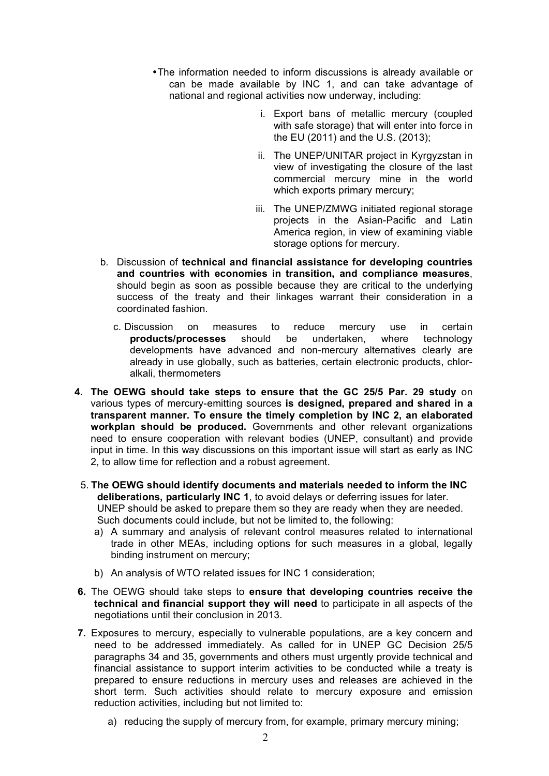- •The information needed to inform discussions is already available or can be made available by INC 1, and can take advantage of national and regional activities now underway, including:
	- i. Export bans of metallic mercury (coupled with safe storage) that will enter into force in the EU (2011) and the U.S. (2013);
	- ii. The UNEP/UNITAR project in Kyrgyzstan in view of investigating the closure of the last commercial mercury mine in the world which exports primary mercury;
	- iii. The UNEP/ZMWG initiated regional storage projects in the Asian-Pacific and Latin America region, in view of examining viable storage options for mercury.
- b. Discussion of **technical and financial assistance for developing countries and countries with economies in transition, and compliance measures**, should begin as soon as possible because they are critical to the underlying success of the treaty and their linkages warrant their consideration in a coordinated fashion.
	- c. Discussion on measures to reduce mercury use in certain **products/processes** should be undertaken, where technology developments have advanced and non-mercury alternatives clearly are already in use globally, such as batteries, certain electronic products, chloralkali, thermometers
- **4. The OEWG should take steps to ensure that the GC 25/5 Par. 29 study** on various types of mercury-emitting sources **is designed, prepared and shared in a transparent manner. To ensure the timely completion by INC 2, an elaborated workplan should be produced.** Governments and other relevant organizations need to ensure cooperation with relevant bodies (UNEP, consultant) and provide input in time. In this way discussions on this important issue will start as early as INC 2, to allow time for reflection and a robust agreement.
	- 5. **The OEWG should identify documents and materials needed to inform the INC deliberations, particularly INC 1**, to avoid delays or deferring issues for later. UNEP should be asked to prepare them so they are ready when they are needed. Such documents could include, but not be limited to, the following:
		- a) A summary and analysis of relevant control measures related to international trade in other MEAs, including options for such measures in a global, legally binding instrument on mercury;
		- b) An analysis of WTO related issues for INC 1 consideration;
- **6.** The OEWG should take steps to **ensure that developing countries receive the technical and financial support they will need** to participate in all aspects of the negotiations until their conclusion in 2013.
- **7.** Exposures to mercury, especially to vulnerable populations, are a key concern and need to be addressed immediately. As called for in UNEP GC Decision 25/5 paragraphs 34 and 35, governments and others must urgently provide technical and financial assistance to support interim activities to be conducted while a treaty is prepared to ensure reductions in mercury uses and releases are achieved in the short term. Such activities should relate to mercury exposure and emission reduction activities, including but not limited to:
	- a) reducing the supply of mercury from, for example, primary mercury mining;